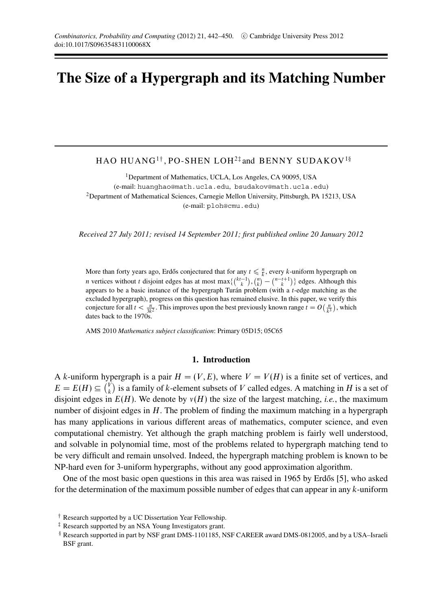# **The Size of a Hypergraph and its Matching Number**

HAO HUANG<sup>1†</sup>, PO-SHEN LOH<sup>2‡</sup> and BENNY SUDAKOV<sup>1§</sup>

<sup>1</sup>Department of Mathematics, UCLA, Los Angeles, CA 90095, USA (e-mail: huanghao@math.ucla.edu, bsudakov@math.ucla.edu) <sup>2</sup>Department of Mathematical Sciences, Carnegie Mellon University, Pittsburgh, PA 15213, USA (e-mail: ploh@cmu.edu)

*Received 27 July 2011; revised 14 September 2011; first published online 20 January 2012*

More than forty years ago, Erdős conjectured that for any  $t \leq \frac{n}{k}$ , every *k*-uniform hypergraph on *n* vertices without *t* disjoint edges has at most max $\{\binom{kt-1}{k}, \binom{n}{k} - \binom{n-t+1}{k}\}$  edges. Although this appears to be a basic instance of the hypergraph Turan problem (with a  $t$ -edge matching as the excluded hypergraph), progress on this question has remained elusive. In this paper, we verify this conjecture for all  $t < \frac{n}{2k^2}$ . This improves upon the best previously known range  $t = O\left(\frac{n}{k^3}\right)$ , which dates back to the 1970s.

AMS 2010 *Mathematics subject classification*: Primary 05D15; 05C65

# **1. Introduction**

A *k*-uniform hypergraph is a pair  $H = (V, E)$ , where  $V = V(H)$  is a finite set of vertices, and  $E = E(H) \subseteq {V \choose k}$  is a family of *k*-element subsets of *V* called edges. A matching in *H* is a set of disjoint edges in  $E(H)$ . We denote by  $v(H)$  the size of the largest matching, *i.e.*, the maximum number of disjoint edges in *H*. The problem of finding the maximum matching in a hypergraph has many applications in various different areas of mathematics, computer science, and even computational chemistry. Yet although the graph matching problem is fairly well understood, and solvable in polynomial time, most of the problems related to hypergraph matching tend to be very difficult and remain unsolved. Indeed, the hypergraph matching problem is known to be NP-hard even for 3-uniform hypergraphs, without any good approximation algorithm.

One of the most basic open questions in this area was raised in  $1965$  by Erdős [5], who asked for the determination of the maximum possible number of edges that can appear in any *k*-uniform

<sup>†</sup> Research supported by a UC Dissertation Year Fellowship.

<sup>‡</sup> Research supported by an NSA Young Investigators grant.

<sup>§</sup> Research supported in part by NSF grant DMS-1101185, NSF CAREER award DMS-0812005, and by a USA–Israeli BSF grant.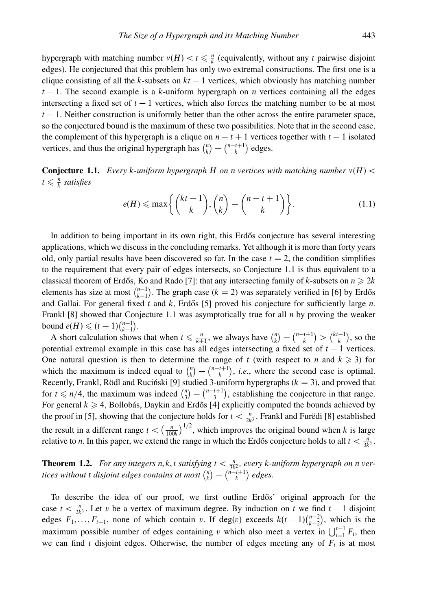hypergraph with matching number  $v(H) < t \leq \frac{n}{k}$  (equivalently, without any *t* pairwise disjoint edges). He conjectured that this problem has only two extremal constructions. The first one is a clique consisting of all the *k*-subsets on  $kt - 1$  vertices, which obviously has matching number  $t-1$ . The second example is a *k*-uniform hypergraph on *n* vertices containing all the edges intersecting a fixed set of  $t - 1$  vertices, which also forces the matching number to be at most  $t - 1$ . Neither construction is uniformly better than the other across the entire parameter space, so the conjectured bound is the maximum of these two possibilities. Note that in the second case, the complement of this hypergraph is a clique on  $n - t + 1$  vertices together with  $t - 1$  isolated vertices, and thus the original hypergraph has  $\binom{n}{k} - \binom{n-t+1}{k}$  edges.

**Conjecture 1.1.** *Every k-uniform hypergraph H on n vertices with matching number ν*(*H*) *<*  $t \leq \frac{n}{k}$  *satisfies* 

$$
e(H) \le \max\left\{ \binom{kt-1}{k}, \binom{n}{k} - \binom{n-t+1}{k} \right\}.
$$
 (1.1)

In addition to being important in its own right, this Erdos conjecture has several interesting applications, which we discuss in the concluding remarks. Yet although it is more than forty years old, only partial results have been discovered so far. In the case  $t = 2$ , the condition simplifies to the requirement that every pair of edges intersects, so Conjecture 1.1 is thus equivalent to a classical theorem of Erdős, Ko and Rado [7]: that any intersecting family of *k*-subsets on  $n \ge 2k$ elements has size at most  $\binom{n-1}{k-1}$ . The graph case  $(k = 2)$  was separately verified in [6] by Erdős and Gallai. For general fixed *t* and *k*, Erdős [5] proved his conjecture for sufficiently large *n*. Frankl [8] showed that Conjecture 1.1 was asymptotically true for all *n* by proving the weaker bound  $e(H) \leq (t-1)\binom{n-1}{k-1}$ .

A short calculation shows that when  $t \le \frac{n}{k+1}$ , we always have  $\binom{n}{k} - \binom{n-t+1}{k} > \binom{k-t-1}{k}$ , so the potential extremal example in this case has all edges intersecting a fixed set of *t* − 1 vertices. One natural question is then to determine the range of *t* (with respect to *n* and  $k \ge 3$ ) for which the maximum is indeed equal to  $\binom{n}{k} - \binom{n-t+1}{k}$ , *i.e.*, where the second case is optimal. Recently, Frankl, Rödl and Ruciński [9] studied 3-uniform hypergraphs ( $k = 3$ ), and proved that for  $t \le n/4$ , the maximum was indeed  $\binom{n}{3} - \binom{n-t+1}{3}$ , establishing the conjecture in that range. For general  $k \geqslant 4$ , Bollobás, Daykin and Erdős [4] explicitly computed the bounds achieved by the proof in [5], showing that the conjecture holds for  $t < \frac{n}{2k^3}$ . Frankl and Furedi [8] established the result in a different range  $t < (\frac{n}{100k})^{1/2}$ , which improves the original bound when *k* is large relative to *n*. In this paper, we extend the range in which the Erdős conjecture holds to all  $t < \frac{n}{3k^2}$ .

**Theorem 1.2.** *For any integers n,k,t satisfying*  $t < \frac{n}{3k^2}$ *, every k-uniform hypergraph on n vertices without t disjoint edges contains at most*  $\binom{n}{k} - \binom{n-t+1}{k}$  *edges.* 

To describe the idea of our proof, we first outline Erdős' original approach for the case  $t < \frac{n}{2k^3}$ . Let *v* be a vertex of maximum degree. By induction on *t* we find  $t - 1$  disjoint edges  $F_1, \ldots, F_{t-1}$ , none of which contain *v*. If deg(*v*) exceeds  $k(t-1)\binom{n-2}{k-2}$ , which is the maximum possible number of edges containing *v* which also meet a vertex in  $\bigcup_{i=1}^{t-1} F_i$ , then we can find  $t$  disjoint edges. Otherwise, the number of edges meeting any of  $F_i$  is at most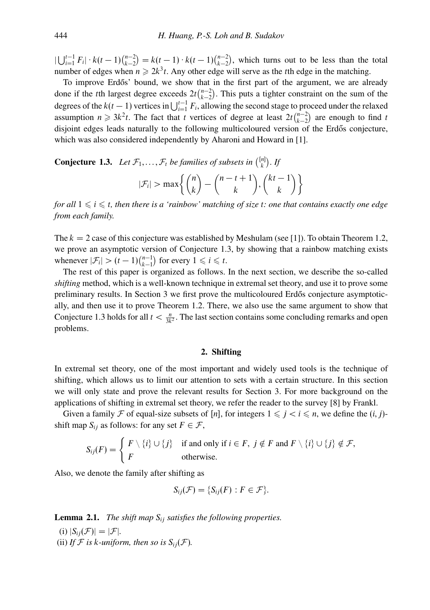$|\bigcup_{i=1}^{t-1} F_i| \cdot k(t-1) \binom{n-2}{k-2} = k(t-1) \cdot k(t-1) \binom{n-2}{k-2}$ , which turns out to be less than the total number of edges when  $n \ge 2k^3t$ . Any other edge will serve as the *t*th edge in the matching.

To improve Erdős' bound, we show that in the first part of the argument, we are already done if the *t*th largest degree exceeds  $2t\binom{n-2}{k-2}$ . This puts a tighter constraint on the sum of the degrees of the  $k(t-1)$  vertices in  $\bigcup_{i=1}^{t-1} F_i$ , allowing the second stage to proceed under the relaxed assumption  $n \geq 3k^2t$ . The fact that *t* vertices of degree at least  $2t\binom{n-2}{k-2}$  are enough to find *t* disjoint edges leads naturally to the following multicoloured version of the Erdős conjecture, which was also considered independently by Aharoni and Howard in [1].

**Conjecture 1.3.** Let 
$$
\mathcal{F}_1, ..., \mathcal{F}_t
$$
 be families of subsets in  ${\binom{[n]}{k}}$ . If\n
$$
|\mathcal{F}_i| > \max\left\{\binom{n}{k} - \binom{n-t+1}{k}, \binom{kt-1}{k}\right\}
$$

*for all* 1 - *i* - *t, then there is a 'rainbow' matching of size t: one that contains exactly one edge from each family.*

The  $k = 2$  case of this conjecture was established by Meshulam (see [1]). To obtain Theorem 1.2, we prove an asymptotic version of Conjecture 1.3, by showing that a rainbow matching exists whenever  $|\mathcal{F}_i| > (t-1)\binom{n-1}{k-1}$  for every  $1 \leq i \leq t$ .

The rest of this paper is organized as follows. In the next section, we describe the so-called *shifting* method, which is a well-known technique in extremal set theory, and use it to prove some preliminary results. In Section 3 we first prove the multicoloured Erdős conjecture asymptotically, and then use it to prove Theorem 1.2. There, we also use the same argument to show that Conjecture 1.3 holds for all  $t < \frac{n}{3k^2}$ . The last section contains some concluding remarks and open problems.

# **2. Shifting**

In extremal set theory, one of the most important and widely used tools is the technique of shifting, which allows us to limit our attention to sets with a certain structure. In this section we will only state and prove the relevant results for Section 3. For more background on the applications of shifting in extremal set theory, we refer the reader to the survey [8] by Frankl.

Given a family F of equal-size subsets of [n], for integers  $1 \leq j < i \leq n$ , we define the  $(i, j)$ shift map  $S_{ij}$  as follows: for any set  $F \in \mathcal{F}$ ,

$$
S_{ij}(F) = \begin{cases} F \setminus \{i\} \cup \{j\} & \text{if and only if } i \in F, \ j \notin F \text{ and } F \setminus \{i\} \cup \{j\} \notin \mathcal{F}, \\ F & \text{otherwise.} \end{cases}
$$

Also, we denote the family after shifting as

$$
S_{ij}(\mathcal{F})=\{S_{ij}(F):F\in\mathcal{F}\}.
$$

**Lemma 2.1.** *The shift map Sij satisfies the following properties.*

(i)  $|S_{ij}(\mathcal{F})| = |\mathcal{F}|$ . (ii) *If*  $F$  *is k-uniform, then so is*  $S_{ij}(F)$ *.*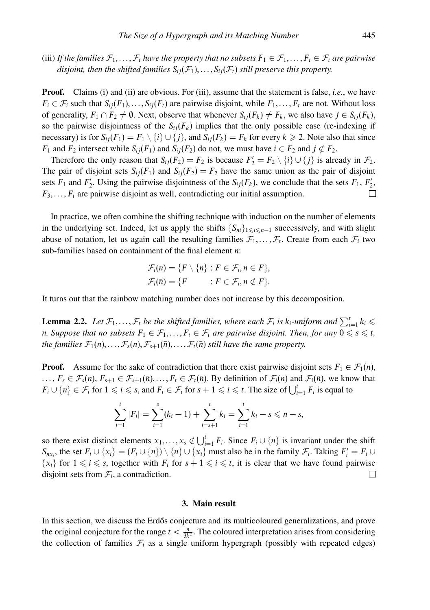(iii) If the families  $\mathcal{F}_1,\ldots,\mathcal{F}_t$  have the property that no subsets  $F_1 \in \mathcal{F}_1,\ldots,F_t \in \mathcal{F}_t$  are pairwise *disjoint, then the shifted families*  $S_{ii}(\mathcal{F}_1), \ldots, S_{ii}(\mathcal{F}_t)$  *still preserve this property.* 

**Proof.** Claims (i) and (ii) are obvious. For (iii), assume that the statement is false, *i.e.*, we have  $F_i \in \mathcal{F}_i$  such that  $S_{ij}(F_1), \ldots, S_{ij}(F_t)$  are pairwise disjoint, while  $F_1, \ldots, F_t$  are not. Without loss of generality,  $F_1 \cap F_2 \neq \emptyset$ . Next, observe that whenever  $S_{ij}(F_k) \neq F_k$ , we also have  $j \in S_{ij}(F_k)$ , so the pairwise disjointness of the  $S_{ij}(F_k)$  implies that the only possible case (re-indexing if necessary) is for  $S_{ij}(F_1) = F_1 \setminus \{i\} \cup \{j\}$ , and  $S_{ij}(F_k) = F_k$  for every  $k \ge 2$ . Note also that since *F*<sub>1</sub> and *F*<sub>2</sub> intersect while  $S_{ij}(F_1)$  and  $S_{ij}(F_2)$  do not, we must have  $i \in F_2$  and  $j \notin F_2$ .

Therefore the only reason that  $S_{ij}(F_2) = F_2$  is because  $F'_2 = F_2 \setminus \{i\} \cup \{j\}$  is already in  $\mathcal{F}_2$ . The pair of disjoint sets  $S_{ij}(F_1)$  and  $S_{ij}(F_2) = F_2$  have the same union as the pair of disjoint sets  $F_1$  and  $F'_2$ . Using the pairwise disjointness of the  $S_{ij}(F_k)$ , we conclude that the sets  $F_1$ ,  $F'_2$ , *F*3*,...,Ft* are pairwise disjoint as well, contradicting our initial assumption.

In practice, we often combine the shifting technique with induction on the number of elements in the underlying set. Indeed, let us apply the shifts  $\{S_{ni}\}_{1 \leq i \leq n-1}$  successively, and with slight abuse of notation, let us again call the resulting families  $\mathcal{F}_1, \ldots, \mathcal{F}_t$ . Create from each  $\mathcal{F}_i$  two sub-families based on containment of the final element *n*:

$$
\mathcal{F}_i(n) = \{F \setminus \{n\} : F \in \mathcal{F}_i, n \in F\},\
$$

$$
\mathcal{F}_i(\bar{n}) = \{F \qquad : F \in \mathcal{F}_i, n \notin F\}.
$$

It turns out that the rainbow matching number does not increase by this decomposition.

**Lemma 2.2.** Let  $\mathcal{F}_1, \ldots, \mathcal{F}_t$  be the shifted families, where each  $\mathcal{F}_i$  is  $k_i$ -uniform and  $\sum_{i=1}^t k_i \leq$ *n. Suppose that no subsets*  $F_1 \in \mathcal{F}_1, \ldots, F_t \in \mathcal{F}_t$  *are pairwise disjoint. Then, for any*  $0 \leqslant s \leqslant t$ *, the families*  $\mathcal{F}_1(n), \ldots, \mathcal{F}_s(n), \mathcal{F}_{s+1}(\bar{n}), \ldots, \mathcal{F}_t(\bar{n})$  *still have the same property.* 

**Proof.** Assume for the sake of contradiction that there exist pairwise disjoint sets  $F_1 \in \mathcal{F}_1(n)$ ,  $\ldots$ ,  $F_s \in \mathcal{F}_s(n)$ ,  $F_{s+1} \in \mathcal{F}_{s+1}(\bar{n}), \ldots, F_t \in \mathcal{F}_t(\bar{n})$ . By definition of  $\mathcal{F}_i(n)$  and  $\mathcal{F}_i(\bar{n})$ , we know that  $F_i \cup \{n\} \in \mathcal{F}_i$  for  $1 \leq i \leq s$ , and  $F_i \in \mathcal{F}_i$  for  $s + 1 \leq i \leq t$ . The size of  $\bigcup_{i=1}^t F_i$  is equal to

$$
\sum_{i=1}^{t} |F_i| = \sum_{i=1}^{s} (k_i - 1) + \sum_{i=s+1}^{t} k_i = \sum_{i=1}^{t} k_i - s \leq n - s,
$$

so there exist distinct elements  $x_1, \ldots, x_s \notin \bigcup_{i=1}^t F_i$ . Since  $F_i \cup \{n\}$  is invariant under the shift  $S_{nx_i}$ , the set  $F_i \cup \{x_i\} = (F_i \cup \{n\}) \setminus \{n\} \cup \{x_i\}$  must also be in the family  $\mathcal{F}_i$ . Taking  $F'_i = F_i \cup \{x_i\}$  $\{x_i\}$  for  $1 \leq i \leq s$ , together with  $F_i$  for  $s + 1 \leq i \leq t$ , it is clear that we have found pairwise disjoint sets from  $\mathcal{F}_i$ , a contradiction. □

#### **3. Main result**

In this section, we discuss the Erdős conjecture and its multicoloured generalizations, and prove the original conjecture for the range  $t < \frac{n}{3k^2}$ . The coloured interpretation arises from considering the collection of families  $F_i$  as a single uniform hypergraph (possibly with repeated edges)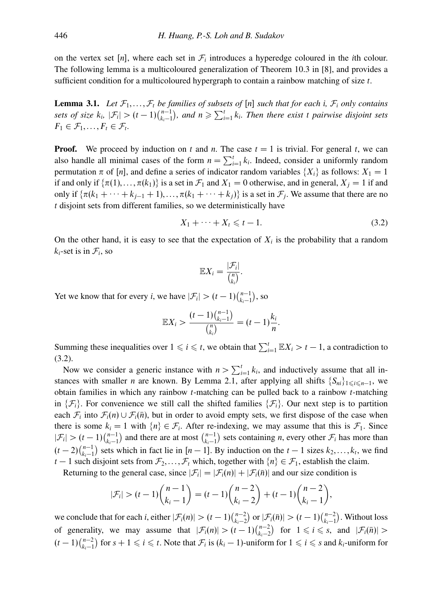on the vertex set [n], where each set in  $\mathcal{F}_i$  introduces a hyperedge coloured in the *i*th colour. The following lemma is a multicoloured generalization of Theorem 10.3 in [8], and provides a sufficient condition for a multicoloured hypergraph to contain a rainbow matching of size *t*.

**Lemma 3.1.** Let  $\mathcal{F}_1, \ldots, \mathcal{F}_t$  be families of subsets of  $[n]$  such that for each *i*,  $\mathcal{F}_i$  only contains *sets of size*  $k_i$ ,  $|\mathcal{F}_i|$  >  $(t-1)\binom{n-1}{k_i-1}$ , and  $n \ge \sum_{i=1}^t k_i$ . Then there exist *t* pairwise disjoint sets  $F_1 \in \mathcal{F}_1, \ldots, F_t \in \mathcal{F}_t$ .

**Proof.** We proceed by induction on t and n. The case  $t = 1$  is trivial. For general t, we can also handle all minimal cases of the form  $n = \sum_{i=1}^{t} k_i$ . Indeed, consider a uniformly random permutation  $\pi$  of [*n*], and define a series of indicator random variables  $\{X_i\}$  as follows:  $X_1 = 1$ if and only if  $\{\pi(1), \ldots, \pi(k_1)\}\$  is a set in  $\mathcal{F}_1$  and  $X_1 = 0$  otherwise, and in general,  $X_i = 1$  if and only if  $\{\pi(k_1 + \cdots + k_{j-1} + 1), \ldots, \pi(k_1 + \cdots + k_j)\}\$  is a set in  $\mathcal{F}_j$ . We assume that there are no *t* disjoint sets from different families, so we deterministically have

$$
X_1 + \dots + X_t \leq t - 1. \tag{3.2}
$$

On the other hand, it is easy to see that the expectation of  $X_i$  is the probability that a random  $k_i$ -set is in  $\mathcal{F}_i$ , so

$$
\mathbb{E}X_i = \frac{|\mathcal{F}_i|}{\binom{n}{k_i}}.
$$

Yet we know that for every *i*, we have  $|\mathcal{F}_i| > (t-1)\binom{n-1}{k_i-1}$ , so

$$
\mathbb{E}X_i > \frac{(t-1)\binom{n-1}{k_i-1}}{\binom{n}{k_i}} = (t-1)\frac{k_i}{n}.
$$

Summing these inequalities over  $1 \leq i \leq t$ , we obtain that  $\sum_{i=1}^{t} \mathbb{E}X_i > t - 1$ , a contradiction to (3.2).

Now we consider a generic instance with  $n > \sum_{i=1}^{t} k_i$ , and inductively assume that all instances with smaller *n* are known. By Lemma 2.1, after applying all shifts  ${S_{ni}}_{1 \le i \le n-1}$ , we obtain families in which any rainbow *t*-matching can be pulled back to a rainbow *t*-matching in  $\{\mathcal{F}_i\}$ . For convenience we still call the shifted families  $\{\mathcal{F}_i\}$ . Our next step is to partition each  $\mathcal{F}_i$  into  $\mathcal{F}_i(n) \cup \mathcal{F}_i(\bar{n})$ , but in order to avoid empty sets, we first dispose of the case when there is some  $k_i = 1$  with  $\{n\} \in \mathcal{F}_i$ . After re-indexing, we may assume that this is  $\mathcal{F}_1$ . Since  $|\mathcal{F}_i| > (t-1)\binom{n-1}{k_i-1}$  and there are at most  $\binom{n-1}{k_i-1}$  sets containing *n*, every other  $\mathcal{F}_i$  has more than  $(t-2)\binom{n-1}{k_i-1}$  sets which in fact lie in  $[n-1]$ . By induction on the  $t-1$  sizes  $k_2, \ldots, k_t$ , we find *t* − 1 such disjoint sets from  $\mathcal{F}_2, \ldots, \mathcal{F}_t$  which, together with  $\{n\} \in \mathcal{F}_1$ , establish the claim.

Returning to the general case, since  $|\mathcal{F}_i| = |\mathcal{F}_i(n)| + |\mathcal{F}_i(\bar{n})|$  and our size condition is

$$
|\mathcal{F}_i| > (t-1){n-1 \choose k_i-1} = (t-1){n-2 \choose k_i-2} + (t-1){n-2 \choose k_i-1},
$$

we conclude that for each *i*, either  $|\mathcal{F}_i(n)| > (t-1)\binom{n-2}{k_i-2}$  or  $|\mathcal{F}_i(\bar{n})| > (t-1)\binom{n-2}{k_i-1}$ . Without loss of generality, we may assume that  $|\mathcal{F}_i(n)| > (t-1)\binom{n-2}{k_i-2}$  for  $1 \leq i \leq s$ , and  $|\mathcal{F}_i(\bar{n})| >$  $(t-1)\binom{n-2}{k_i-1}$  for  $s+1 \leq i \leq t$ . Note that  $\mathcal{F}_i$  is  $(k_i-1)$ -uniform for  $1 \leq i \leq s$  and  $k_i$ -uniform for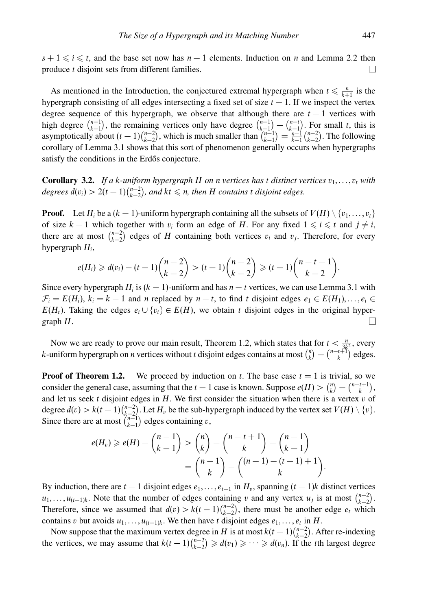$s + 1 \leq i \leq t$ , and the base set now has  $n - 1$  elements. Induction on *n* and Lemma 2.2 then produce *t* disjoint sets from different families. П

As mentioned in the Introduction, the conjectured extremal hypergraph when  $t \leq \frac{n}{k+1}$  is the hypergraph consisting of all edges intersecting a fixed set of size  $t - 1$ . If we inspect the vertex degree sequence of this hypergraph, we observe that although there are  $t-1$  vertices with high degree  $\binom{n-1}{k-1}$ , the remaining vertices only have degree  $\binom{n-1}{k-1} - \binom{n-t}{k-1}$ . For small *t*, this is asymptotically about  $(t-1)\binom{n-2}{k-2}$ , which is much smaller than  $\binom{n-1}{k-1} = \frac{n-1}{k-1}\binom{n-2}{k-2}$ . The following corollary of Lemma 3.1 shows that this sort of phenomenon generally occurs when hypergraphs satisfy the conditions in the Erdős conjecture.

**Corollary 3.2.** *If a k-uniform hypergraph H on n vertices* has *t* distinct vertices  $v_1, \ldots, v_t$  with  $degrees d(v_i) > 2(t-1)\binom{n-2}{k-2}$ , and  $kt \leq n$ , then *H* contains *t* disjoint edges.

**Proof.** Let  $H_i$  be a  $(k-1)$ -uniform hypergraph containing all the subsets of  $V(H) \setminus \{v_1, \ldots, v_t\}$ of size  $k - 1$  which together with  $v_i$  form an edge of *H*. For any fixed  $1 \leq i \leq t$  and  $j \neq i$ , there are at most  $\binom{n-2}{k-2}$  edges of *H* containing both vertices *v<sub>i</sub>* and *v<sub>j</sub>*. Therefore, for every hypergraph *Hi*,

$$
e(H_i) \geq d(v_i) - (t-1)\binom{n-2}{k-2} > (t-1)\binom{n-2}{k-2} \geq (t-1)\binom{n-t-1}{k-2}.
$$

Since every hypergraph  $H_i$  is  $(k - 1)$ -uniform and has  $n - t$  vertices, we can use Lemma 3.1 with  $\mathcal{F}_i = E(H_i)$ ,  $k_i = k - 1$  and *n* replaced by  $n - t$ , to find *t* disjoint edges  $e_1 \in E(H_1)$ ,...,  $e_t \in E(H_1)$  $E(H_t)$ . Taking the edges  $e_i \cup \{v_i\} \in E(H)$ , we obtain *t* disjoint edges in the original hypergraph *H*. П

Now we are ready to prove our main result, Theorem 1.2, which states that for  $t < \frac{n}{3k^2}$ , every *k*-uniform hypergraph on *n* vertices without *t* disjoint edges contains at most  $\binom{n}{k} - \binom{n-t+1}{k}$  edges.

**Proof of Theorem 1.2.** We proceed by induction on t. The base case  $t = 1$  is trivial, so we consider the general case, assuming that the *t* − 1 case is known. Suppose  $e(H) > {n \choose k} - {n-t+1 \choose k}$ , and let us seek *t* disjoint edges in *H*. We first consider the situation when there is a vertex *v* of degree  $d(v) > k(t-1)\binom{n-2}{k-2}$ . Let  $H_v$  be the sub-hypergraph induced by the vertex set  $V(H) \setminus \{v\}$ . Since there are at most  $\binom{n-1}{k-1}$  edges containing *v*,

$$
e(H_v) \ge e(H) - {n-1 \choose k-1} > {n \choose k} - {n-t+1 \choose k} - {n-1 \choose k-1} \\
= {n-1 \choose k} - {n-1 \choose k} - {n-1 \choose k}.
$$

By induction, there are  $t - 1$  disjoint edges  $e_1, \ldots, e_{t-1}$  in  $H_v$ , spanning  $(t - 1)k$  distinct vertices  $u_1, \ldots, u_{(t-1)k}$ . Note that the number of edges containing *v* and any vertex  $u_j$  is at most  $\binom{n-2}{k-2}$ . Therefore, since we assumed that  $d(v) > k(t-1)\binom{n-2}{k-2}$ , there must be another edge  $e_t$  which contains *v* but avoids  $u_1, \ldots, u_{(t-1)k}$ . We then have *t* disjoint edges  $e_1, \ldots, e_t$  in *H*.

Now suppose that the maximum vertex degree in *H* is at most  $k(t-1)\binom{n-2}{k-2}$ . After re-indexing the vertices, we may assume that  $k(t-1)\binom{n-2}{k-2} \geq d(v_1) \geq \cdots \geq d(v_n)$ . If the *t*th largest degree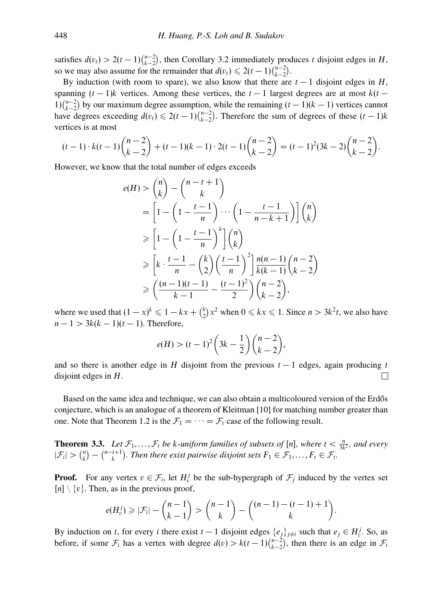satisfies  $d(v_t) > 2(t-1)\binom{n-2}{k-2}$ , then Corollary 3.2 immediately produces *t* disjoint edges in *H*, so we may also assume for the remainder that  $d(v_t) \leq 2(t-1)\binom{n-2}{k-2}$ .

By induction (with room to spare), we also know that there are  $t - 1$  disjoint edges in *H*, spanning  $(t-1)$ *k* vertices. Among these vertices, the  $t-1$  largest degrees are at most  $k(t-$ 1) $\binom{n-2}{k-2}$  by our maximum degree assumption, while the remaining  $(t-1)(k-1)$  vertices cannot have degrees exceeding  $d(v_t) \leq 2(t-1)\binom{n-2}{k-2}$ . Therefore the sum of degrees of these  $(t-1)k$ vertices is at most

$$
(t-1)\cdot k(t-1){\binom{n-2}{k-2}} + (t-1)(k-1)\cdot 2(t-1){\binom{n-2}{k-2}} = (t-1)^2(3k-2){\binom{n-2}{k-2}}.
$$

However, we know that the total number of edges exceeds

$$
e(H) > {n \choose k} - {n-t+1 \choose k}
$$
  
\n
$$
= \left[1 - \left(1 - \frac{t-1}{n}\right) \cdots \left(1 - \frac{t-1}{n-k+1}\right)\right] {n \choose k}
$$
  
\n
$$
\geq \left[1 - \left(1 - \frac{t-1}{n}\right)^k \right] {n \choose k}
$$
  
\n
$$
\geq \left[k \cdot \frac{t-1}{n} - {k \choose 2} \left(\frac{t-1}{n}\right)^2 \right] \frac{n(n-1)}{k(k-1)} {n-2 \choose k-2}
$$
  
\n
$$
\geq \left(\frac{(n-1)(t-1)}{k-1} - \frac{(t-1)^2}{2}\right) {n-2 \choose k-2},
$$

where we used that  $(1-x)^k \leq 1 - kx + {k \choose 2}x^2$  when  $0 \leq kx \leq 1$ . Since  $n > 3k^2t$ , we also have  $n - 1 > 3k(k - 1)(t - 1)$ . Therefore,

$$
e(H) > (t-1)^2 \left(3k - \frac{1}{2}\right) \binom{n-2}{k-2},
$$

and so there is another edge in *H* disjoint from the previous  $t - 1$  edges, again producing  $t$ disjoint edges in *H*.  $\Box$ 

Based on the same idea and technique, we can also obtain a multicoloured version of the Erdős conjecture, which is an analogue of a theorem of Kleitman [10] for matching number greater than one. Note that Theorem 1.2 is the  $\mathcal{F}_1 = \cdots = \mathcal{F}_t$  case of the following result.

**Theorem 3.3.** Let  $\mathcal{F}_1, \ldots, \mathcal{F}_t$  be *k-uniform families of subsets of* [n], where  $t < \frac{n}{3k^2}$ , and every  $|\mathcal{F}_i| > {n \choose k} - {n-t+1 \choose k}$ . Then there exist pairwise disjoint sets  $F_1 \in \mathcal{F}_1, \ldots, F_t \in \mathcal{F}_t$ .

**Proof.** For any vertex  $v \in \mathcal{F}_i$ , let  $H_v^j$  be the sub-hypergraph of  $\mathcal{F}_j$  induced by the vertex set  $[n] \setminus \{v\}$ . Then, as in the previous proof,

$$
e(H_v^j) \geq |\mathcal{F}_i| - {n-1 \choose k-1} > {n-1 \choose k} - {n-1-(t-1)+1 \choose k}.
$$

By induction on *t*, for every *i* there exist *t* − 1 disjoint edges  $\{e_j\}_{j\neq i}$  such that  $e_j \in H_v^j$ . So, as before, if some  $\mathcal{F}_i$  has a vertex with degree  $d(v) > k(t-1)\binom{n-2}{k-2}$ , then there is an edge in  $\mathcal{F}_i$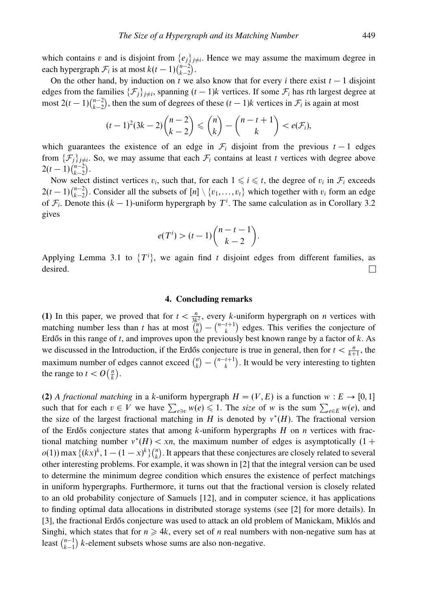which contains *v* and is disjoint from  $\{e_j\}_{j\neq i}$ . Hence we may assume the maximum degree in each hypergraph  $\mathcal{F}_i$  is at most  $k(t-1)\binom{n-2}{k-2}$ .

On the other hand, by induction on *t* we also know that for every *i* there exist  $t - 1$  disjoint edges from the families  $\{\mathcal{F}_i\}_{i\neq i}$ , spanning  $(t-1)k$  vertices. If some  $\mathcal{F}_i$  has *t*th largest degree at most  $2(t-1)\binom{n-2}{k-2}$ , then the sum of degrees of these  $(t-1)k$  vertices in  $\mathcal{F}_i$  is again at most

$$
(t-1)^2(3k-2){\binom{n-2}{k-2}}\leq {\binom{n}{k}}-{\binom{n-t+1}{k}}
$$

which guarantees the existence of an edge in  $\mathcal{F}_i$  disjoint from the previous  $t-1$  edges from  $\{\mathcal{F}_j\}_{j\neq i}$ . So, we may assume that each  $\mathcal{F}_i$  contains at least *t* vertices with degree above  $2(t-1)\binom{n-2}{k-2}$ .

Now select distinct vertices  $v_i$ , such that, for each  $1 \leq i \leq t$ , the degree of  $v_i$  in  $\mathcal{F}_i$  exceeds  $2(t-1)\binom{n-2}{k-2}$ . Consider all the subsets of  $[n] \setminus \{v_1, \ldots, v_t\}$  which together with  $v_i$  form an edge of  $\mathcal{F}_i$ . Denote this ( $k - 1$ )-uniform hypergraph by  $T^i$ . The same calculation as in Corollary 3.2 gives

$$
e(Ti) > (t-1) \binom{n-t-1}{k-2}.
$$

Applying Lemma 3.1 to  $\{T^i\}$ , we again find *t* disjoint edges from different families, as desired.  $\Box$ 

# **4. Concluding remarks**

**(1)** In this paper, we proved that for  $t < \frac{n}{3k^2}$ , every *k*-uniform hypergraph on *n* vertices with matching number less than *t* has at most  $\binom{n}{k} - \binom{n-t+1}{k}$  edges. This verifies the conjecture of Erdős in this range of  $t$ , and improves upon the previously best known range by a factor of  $k$ . As we discussed in the Introduction, if the Erdős conjecture is true in general, then for  $t < \frac{n}{k+1}$ , the maximum number of edges cannot exceed  $\binom{n}{k} - \binom{n-t+1}{k}$ . It would be very interesting to tighten the range to  $t < O\left(\frac{n}{k}\right)$ .

**(2)** A fractional matching in a *k*-uniform hypergraph  $H = (V, E)$  is a function  $w : E \rightarrow [0, 1]$ such that for each  $v \in V$  we have  $\sum_{e \ni v} w(e) \leq 1$ . The *size* of *w* is the sum  $\sum_{e \in E} w(e)$ , and the size of the largest fractional matching in *H* is denoted by  $v^*(H)$ . The fractional version of the Erdős conjecture states that among *k*-uniform hypergraphs *H* on *n* vertices with fractional matching number  $v^*(H) < xn$ , the maximum number of edges is asymptotically  $(1 +$  $o(1)$  max  $\{(kx)^k, 1 - (1 - x)^k\}$ , It appears that these conjectures are closely related to several other interesting problems. For example, it was shown in [2] that the integral version can be used to determine the minimum degree condition which ensures the existence of perfect matchings in uniform hypergraphs. Furthermore, it turns out that the fractional version is closely related to an old probability conjecture of Samuels [12], and in computer science, it has applications to finding optimal data allocations in distributed storage systems (see [2] for more details). In [3], the fractional Erdős conjecture was used to attack an old problem of Manickam, Miklós and Singhi, which states that for  $n \ge 4k$ , every set of *n* real numbers with non-negative sum has at least  $\binom{n-1}{k-1}$  *k*-element subsets whose sums are also non-negative.